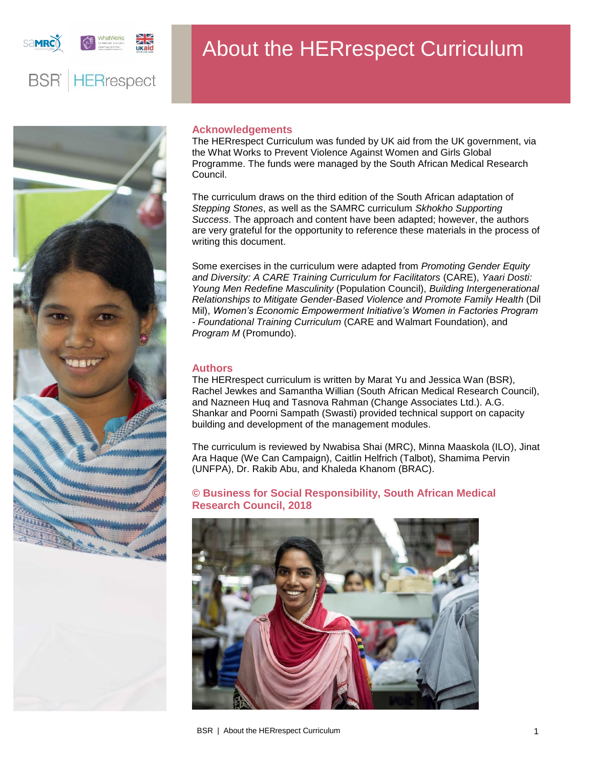

# About the HERrespect Curriculum



## **Acknowledgements**

The HERrespect Curriculum was funded by UK aid from the UK government, via the What Works to Prevent Violence Against Women and Girls Global Programme. The funds were managed by the South African Medical Research Council.

The curriculum draws on the third edition of the South African adaptation of *Stepping Stones*, as well as the SAMRC curriculum *Skhokho Supporting Success*. The approach and content have been adapted; however, the authors are very grateful for the opportunity to reference these materials in the process of writing this document.

Some exercises in the curriculum were adapted from *Promoting Gender Equity and Diversity: A CARE Training Curriculum for Facilitators* (CARE), *Yaari Dosti: Young Men Redefine Masculinity* (Population Council), *Building Intergenerational Relationships to Mitigate Gender-Based Violence and Promote Family Health* (Dil Mil), *Women's Economic Empowerment Initiative's Women in Factories Program - Foundational Training Curriculum* (CARE and Walmart Foundation), and *Program M* (Promundo).

## **Authors**

The HERrespect curriculum is written by Marat Yu and Jessica Wan (BSR), Rachel Jewkes and Samantha Willian (South African Medical Research Council), and Nazneen Huq and Tasnova Rahman (Change Associates Ltd.). A.G. Shankar and Poorni Sampath (Swasti) provided technical support on capacity building and development of the management modules.

The curriculum is reviewed by Nwabisa Shai (MRC), Minna Maaskola (ILO), Jinat Ara Haque (We Can Campaign), Caitlin Helfrich (Talbot), Shamima Pervin (UNFPA), Dr. Rakib Abu, and Khaleda Khanom (BRAC).

**© Business for Social Responsibility, South African Medical Research Council, 2018**



BSR | About the HERrespect Curriculum 1 1 and 1 and 1 and 1 and 1 and 1 and 1 and 1 and 1 and 1 and 1 and 1 and 1 and 1 and 1 and 1 and 1 and 1 and 1 and 1 and 1 and 1 and 1 and 1 and 1 and 1 and 1 and 1 and 1 and 1 and 1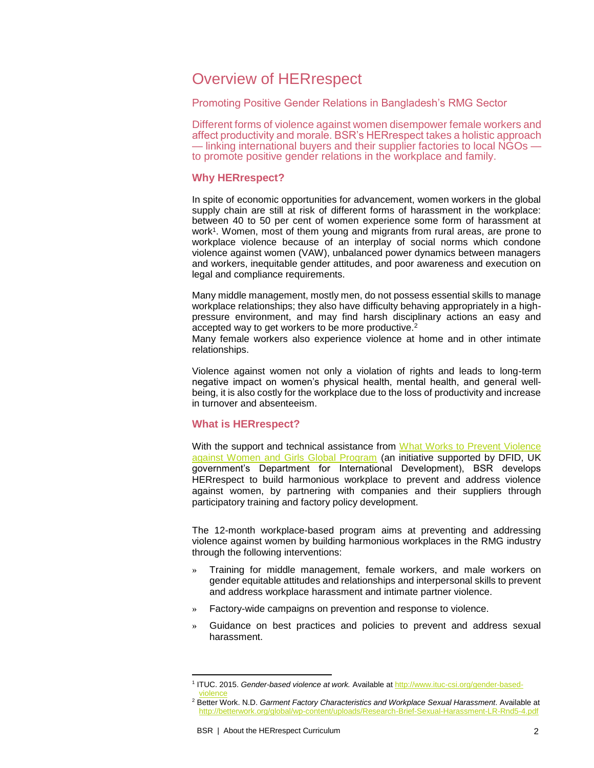## Overview of HERrespect

Promoting Positive Gender Relations in Bangladesh's RMG Sector

Different forms of violence against women disempower female workers and affect productivity and morale. BSR's HERrespect takes a holistic approach — linking international buyers and their supplier factories to local NGOs to promote positive gender relations in the workplace and family.

## **Why HERrespect?**

In spite of economic opportunities for advancement, women workers in the global supply chain are still at risk of different forms of harassment in the workplace: between 40 to 50 per cent of women experience some form of harassment at work<sup>1</sup>. Women, most of them young and migrants from rural areas, are prone to workplace violence because of an interplay of social norms which condone violence against women (VAW), unbalanced power dynamics between managers and workers, inequitable gender attitudes, and poor awareness and execution on legal and compliance requirements.

Many middle management, mostly men, do not possess essential skills to manage workplace relationships; they also have difficulty behaving appropriately in a highpressure environment, and may find harsh disciplinary actions an easy and accepted way to get workers to be more productive.<sup>2</sup>

Many female workers also experience violence at home and in other intimate relationships.

Violence against women not only a violation of rights and leads to long-term negative impact on women's physical health, mental health, and general wellbeing, it is also costly for the workplace due to the loss of productivity and increase in turnover and absenteeism.

## **What is HERrespect?**

With the support and technical assistance from What Works to Prevent Violence [against Women and Girls Global Program](http://www.whatworks.co.za/projects/all-projects/innovation-projects/item/31-herrespect-promoting-positive-gender-relations-through-workplace-interventions) (an initiative supported by DFID, UK government's Department for International Development), BSR develops HERrespect to build harmonious workplace to prevent and address violence against women, by partnering with companies and their suppliers through participatory training and factory policy development.

The 12-month workplace-based program aims at preventing and addressing violence against women by building harmonious workplaces in the RMG industry through the following interventions:

- » Training for middle management, female workers, and male workers on gender equitable attitudes and relationships and interpersonal skills to prevent and address workplace harassment and intimate partner violence.
- » Factory-wide campaigns on prevention and response to violence.
- » Guidance on best practices and policies to prevent and address sexual harassment.

l

<sup>1</sup> ITUC. 2015. *Gender-based violence at work.* Available a[t http://www.ituc-csi.org/gender-based](http://www.ituc-csi.org/gender-based-violence)**[violence](http://www.ituc-csi.org/gender-based-violence)** 

<sup>2</sup> Better Work. N.D. *Garment Factory Characteristics and Workplace Sexual Harassment*. Available at <http://betterwork.org/global/wp-content/uploads/Research-Brief-Sexual-Harassment-LR-Rnd5-4.pdf>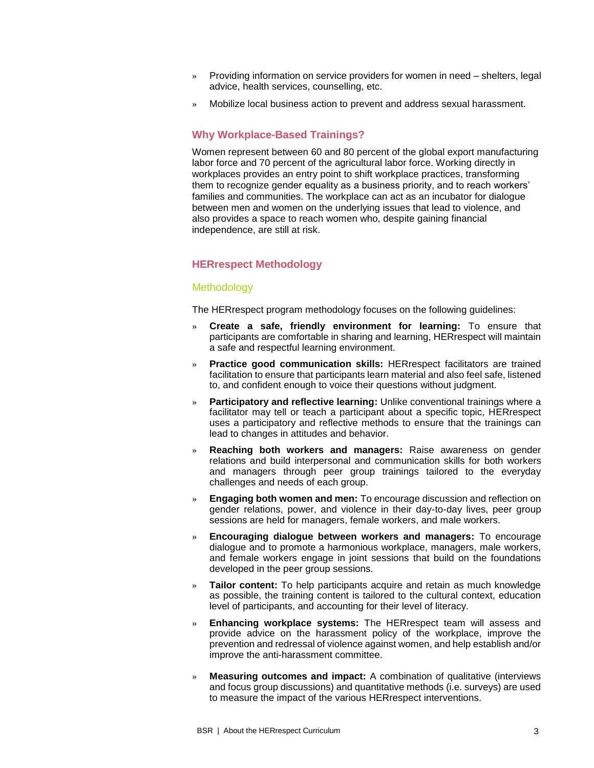- » Providing information on service providers for women in need shelters, legal advice, health services, counselling, etc.
- » Mobilize local business action to prevent and address sexual harassment.

## **Why Workplace-Based Trainings?**

Women represent between 60 and 80 percent of the global export manufacturing labor force and 70 percent of the agricultural labor force. Working directly in workplaces provides an entry point to shift workplace practices, transforming them to recognize gender equality as a business priority, and to reach workers' families and communities. The workplace can act as an incubator for dialogue between men and women on the underlying issues that lead to violence, and also provides a space to reach women who, despite gaining financial independence, are still at risk.

## **HERrespect Methodology**

## **Methodology**

The HERrespect program methodology focuses on the following guidelines:

- » **Create a safe, friendly environment for learning:** To ensure that participants are comfortable in sharing and learning, HERrespect will maintain a safe and respectful learning environment.
- » **Practice good communication skills:** HERrespect facilitators are trained facilitation to ensure that participants learn material and also feel safe, listened to, and confident enough to voice their questions without judgment.
- **Participatory and reflective learning:** Unlike conventional trainings where a facilitator may tell or teach a participant about a specific topic, HERrespect uses a participatory and reflective methods to ensure that the trainings can lead to changes in attitudes and behavior.
- » **Reaching both workers and managers:** Raise awareness on gender relations and build interpersonal and communication skills for both workers and managers through peer group trainings tailored to the everyday challenges and needs of each group.
- » **Engaging both women and men:** To encourage discussion and reflection on gender relations, power, and violence in their day-to-day lives, peer group sessions are held for managers, female workers, and male workers.
- » **Encouraging dialogue between workers and managers:** To encourage dialogue and to promote a harmonious workplace, managers, male workers, and female workers engage in joint sessions that build on the foundations developed in the peer group sessions.
- **Tailor content:** To help participants acquire and retain as much knowledge as possible, the training content is tailored to the cultural context, education level of participants, and accounting for their level of literacy.
- » **Enhancing workplace systems:** The HERrespect team will assess and provide advice on the harassment policy of the workplace, improve the prevention and redressal of violence against women, and help establish and/or improve the anti-harassment committee.
- » **Measuring outcomes and impact:** A combination of qualitative (interviews and focus group discussions) and quantitative methods (i.e. surveys) are used to measure the impact of the various HERrespect interventions.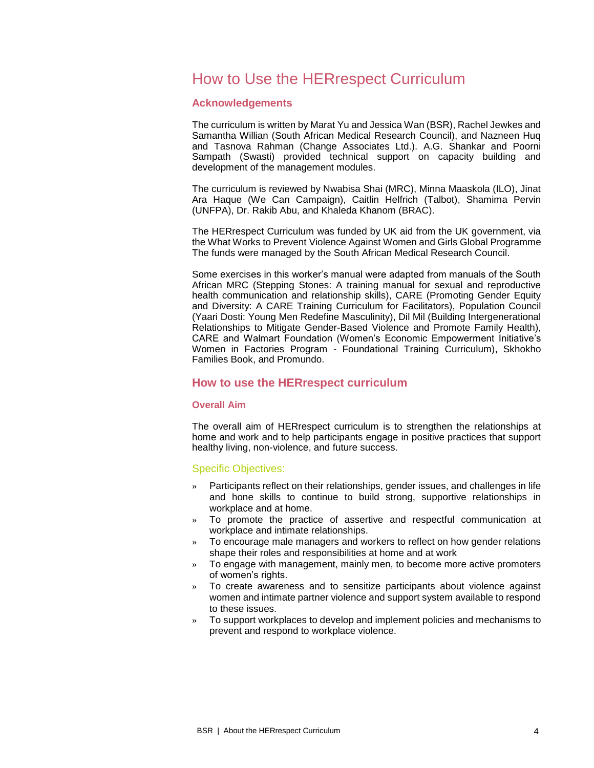# How to Use the HERrespect Curriculum

#### **Acknowledgements**

The curriculum is written by Marat Yu and Jessica Wan (BSR), Rachel Jewkes and Samantha Willian (South African Medical Research Council), and Nazneen Huq and Tasnova Rahman (Change Associates Ltd.). A.G. Shankar and Poorni Sampath (Swasti) provided technical support on capacity building and development of the management modules.

The curriculum is reviewed by Nwabisa Shai (MRC), Minna Maaskola (ILO), Jinat Ara Haque (We Can Campaign), Caitlin Helfrich (Talbot), Shamima Pervin (UNFPA), Dr. Rakib Abu, and Khaleda Khanom (BRAC).

The HERrespect Curriculum was funded by UK aid from the UK government, via the What Works to Prevent Violence Against Women and Girls Global Programme The funds were managed by the South African Medical Research Council.

Some exercises in this worker's manual were adapted from manuals of the South African MRC (Stepping Stones: A training manual for sexual and reproductive health communication and relationship skills), CARE (Promoting Gender Equity and Diversity: A CARE Training Curriculum for Facilitators), Population Council (Yaari Dosti: Young Men Redefine Masculinity), Dil Mil (Building Intergenerational Relationships to Mitigate Gender-Based Violence and Promote Family Health), CARE and Walmart Foundation (Women's Economic Empowerment Initiative's Women in Factories Program - Foundational Training Curriculum), Skhokho Families Book, and Promundo.

## **How to use the HERrespect curriculum**

#### **Overall Aim**

The overall aim of HERrespect curriculum is to strengthen the relationships at home and work and to help participants engage in positive practices that support healthy living, non-violence, and future success.

## Specific Objectives:

- » Participants reflect on their relationships, gender issues, and challenges in life and hone skills to continue to build strong, supportive relationships in workplace and at home.
- » To promote the practice of assertive and respectful communication at workplace and intimate relationships.
- » To encourage male managers and workers to reflect on how gender relations shape their roles and responsibilities at home and at work
- » To engage with management, mainly men, to become more active promoters of women's rights.
- » To create awareness and to sensitize participants about violence against women and intimate partner violence and support system available to respond to these issues.
- » To support workplaces to develop and implement policies and mechanisms to prevent and respond to workplace violence.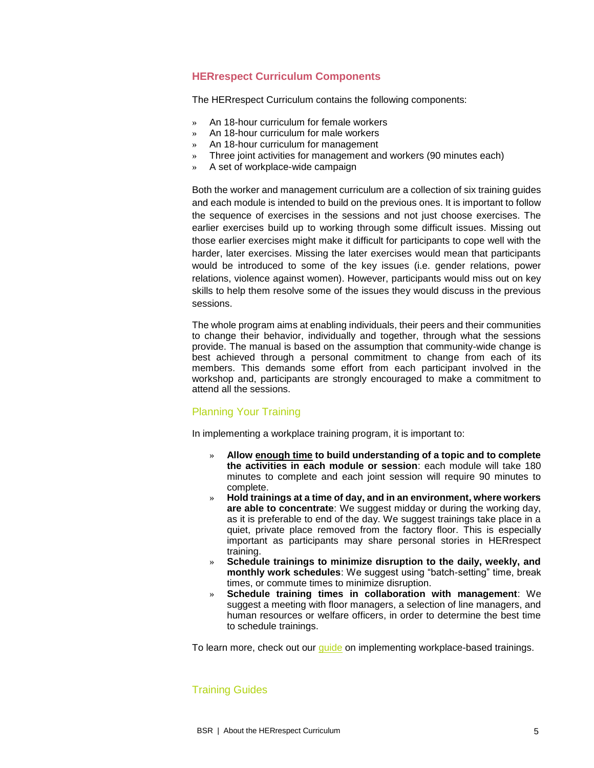## **HERrespect Curriculum Components**

The HERrespect Curriculum contains the following components:

- » An 18-hour curriculum for female workers
- » An 18-hour curriculum for male workers
- » An 18-hour curriculum for management
- » Three joint activities for management and workers (90 minutes each)
	- » A set of workplace-wide campaign

Both the worker and management curriculum are a collection of six training guides and each module is intended to build on the previous ones. It is important to follow the sequence of exercises in the sessions and not just choose exercises. The earlier exercises build up to working through some difficult issues. Missing out those earlier exercises might make it difficult for participants to cope well with the harder, later exercises. Missing the later exercises would mean that participants would be introduced to some of the key issues (i.e. gender relations, power relations, violence against women). However, participants would miss out on key skills to help them resolve some of the issues they would discuss in the previous sessions.

The whole program aims at enabling individuals, their peers and their communities to change their behavior, individually and together, through what the sessions provide. The manual is based on the assumption that community-wide change is best achieved through a personal commitment to change from each of its members. This demands some effort from each participant involved in the workshop and, participants are strongly encouraged to make a commitment to attend all the sessions.

## Planning Your Training

In implementing a workplace training program, it is important to:

- » **Allow enough time to build understanding of a topic and to complete the activities in each module or session**: each module will take 180 minutes to complete and each joint session will require 90 minutes to complete.
- » **Hold trainings at a time of day, and in an environment, where workers are able to concentrate**: We suggest midday or during the working day, as it is preferable to end of the day. We suggest trainings take place in a quiet, private place removed from the factory floor. This is especially important as participants may share personal stories in HERrespect training.
- » **Schedule trainings to minimize disruption to the daily, weekly, and monthly work schedules**: We suggest using "batch-setting" time, break times, or commute times to minimize disruption.
- » **Schedule training times in collaboration with management**: We suggest a meeting with floor managers, a selection of line managers, and human resources or welfare officers, in order to determine the best time to schedule trainings.

To learn more, check out our quide on implementing workplace-based trainings.

## Training Guides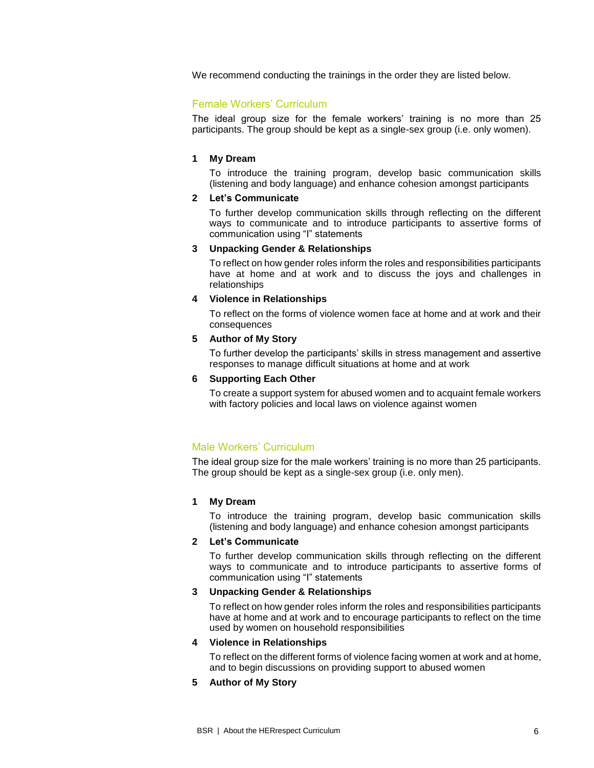We recommend conducting the trainings in the order they are listed below.

## Female Workers' Curriculum

The ideal group size for the female workers' training is no more than 25 participants. The group should be kept as a single-sex group (i.e. only women).

#### **1 My Dream**

To introduce the training program, develop basic communication skills (listening and body language) and enhance cohesion amongst participants

## **2 Let's Communicate**

To further develop communication skills through reflecting on the different ways to communicate and to introduce participants to assertive forms of communication using "I" statements

#### **3 Unpacking Gender & Relationships**

To reflect on how gender roles inform the roles and responsibilities participants have at home and at work and to discuss the joys and challenges in relationships

#### **4 Violence in Relationships**

To reflect on the forms of violence women face at home and at work and their consequences

#### **5 Author of My Story**

To further develop the participants' skills in stress management and assertive responses to manage difficult situations at home and at work

## **6 Supporting Each Other**

To create a support system for abused women and to acquaint female workers with factory policies and local laws on violence against women

## Male Workers' Curriculum

The ideal group size for the male workers' training is no more than 25 participants. The group should be kept as a single-sex group (i.e. only men).

#### **1 My Dream**

To introduce the training program, develop basic communication skills (listening and body language) and enhance cohesion amongst participants

## **2 Let's Communicate**

To further develop communication skills through reflecting on the different ways to communicate and to introduce participants to assertive forms of communication using "I" statements

## **3 Unpacking Gender & Relationships**

To reflect on how gender roles inform the roles and responsibilities participants have at home and at work and to encourage participants to reflect on the time used by women on household responsibilities

#### **4 Violence in Relationships**

To reflect on the different forms of violence facing women at work and at home, and to begin discussions on providing support to abused women

## **5 Author of My Story**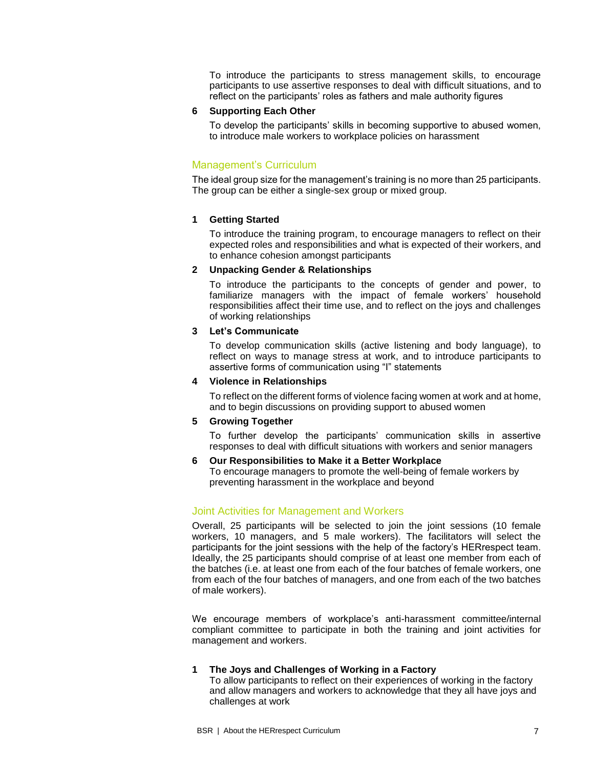To introduce the participants to stress management skills, to encourage participants to use assertive responses to deal with difficult situations, and to reflect on the participants' roles as fathers and male authority figures

## **6 Supporting Each Other**

To develop the participants' skills in becoming supportive to abused women, to introduce male workers to workplace policies on harassment

## Management's Curriculum

The ideal group size for the management's training is no more than 25 participants. The group can be either a single-sex group or mixed group.

#### **1 Getting Started**

To introduce the training program, to encourage managers to reflect on their expected roles and responsibilities and what is expected of their workers, and to enhance cohesion amongst participants

## **2 Unpacking Gender & Relationships**

To introduce the participants to the concepts of gender and power, to familiarize managers with the impact of female workers' household responsibilities affect their time use, and to reflect on the joys and challenges of working relationships

## **3 Let's Communicate**

To develop communication skills (active listening and body language), to reflect on ways to manage stress at work, and to introduce participants to assertive forms of communication using "I" statements

#### **4 Violence in Relationships**

To reflect on the different forms of violence facing women at work and at home, and to begin discussions on providing support to abused women

## **5 Growing Together**

To further develop the participants' communication skills in assertive responses to deal with difficult situations with workers and senior managers

#### **6 Our Responsibilities to Make it a Better Workplace**

To encourage managers to promote the well-being of female workers by preventing harassment in the workplace and beyond

## Joint Activities for Management and Workers

Overall, 25 participants will be selected to join the joint sessions (10 female workers, 10 managers, and 5 male workers). The facilitators will select the participants for the joint sessions with the help of the factory's HERrespect team. Ideally, the 25 participants should comprise of at least one member from each of the batches (i.e. at least one from each of the four batches of female workers, one from each of the four batches of managers, and one from each of the two batches of male workers).

We encourage members of workplace's anti-harassment committee/internal compliant committee to participate in both the training and joint activities for management and workers.

## **1 The Joys and Challenges of Working in a Factory**

To allow participants to reflect on their experiences of working in the factory and allow managers and workers to acknowledge that they all have joys and challenges at work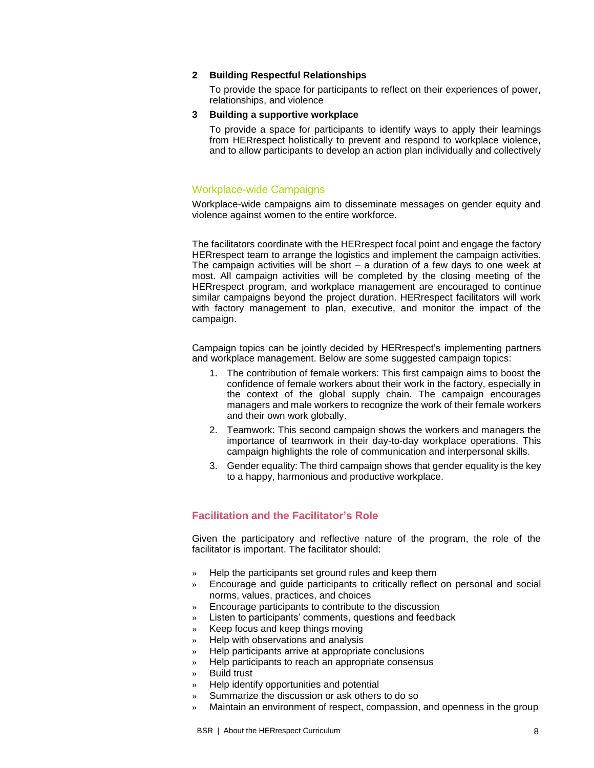## **2 Building Respectful Relationships**

To provide the space for participants to reflect on their experiences of power, relationships, and violence

#### **3 Building a supportive workplace**

To provide a space for participants to identify ways to apply their learnings from HERrespect holistically to prevent and respond to workplace violence, and to allow participants to develop an action plan individually and collectively

## Workplace-wide Campaigns

Workplace-wide campaigns aim to disseminate messages on gender equity and violence against women to the entire workforce.

The facilitators coordinate with the HERrespect focal point and engage the factory HERrespect team to arrange the logistics and implement the campaign activities. The campaign activities will be short – a duration of a few days to one week at most. All campaign activities will be completed by the closing meeting of the HERrespect program, and workplace management are encouraged to continue similar campaigns beyond the project duration. HERrespect facilitators will work with factory management to plan, executive, and monitor the impact of the campaign.

Campaign topics can be jointly decided by HERrespect's implementing partners and workplace management. Below are some suggested campaign topics:

- 1. The contribution of female workers: This first campaign aims to boost the confidence of female workers about their work in the factory, especially in the context of the global supply chain. The campaign encourages managers and male workers to recognize the work of their female workers and their own work globally.
- 2. Teamwork: This second campaign shows the workers and managers the importance of teamwork in their day-to-day workplace operations. This campaign highlights the role of communication and interpersonal skills.
- 3. Gender equality: The third campaign shows that gender equality is the key to a happy, harmonious and productive workplace.

## **Facilitation and the Facilitator's Role**

Given the participatory and reflective nature of the program, the role of the facilitator is important. The facilitator should:

- » Help the participants set ground rules and keep them
- » Encourage and guide participants to critically reflect on personal and social norms, values, practices, and choices
- » Encourage participants to contribute to the discussion
- Listen to participants' comments, questions and feedback
- » Keep focus and keep things moving
- » Help with observations and analysis
- » Help participants arrive at appropriate conclusions
- » Help participants to reach an appropriate consensus
- » Build trust
- » Help identify opportunities and potential
- Summarize the discussion or ask others to do so
- » Maintain an environment of respect, compassion, and openness in the group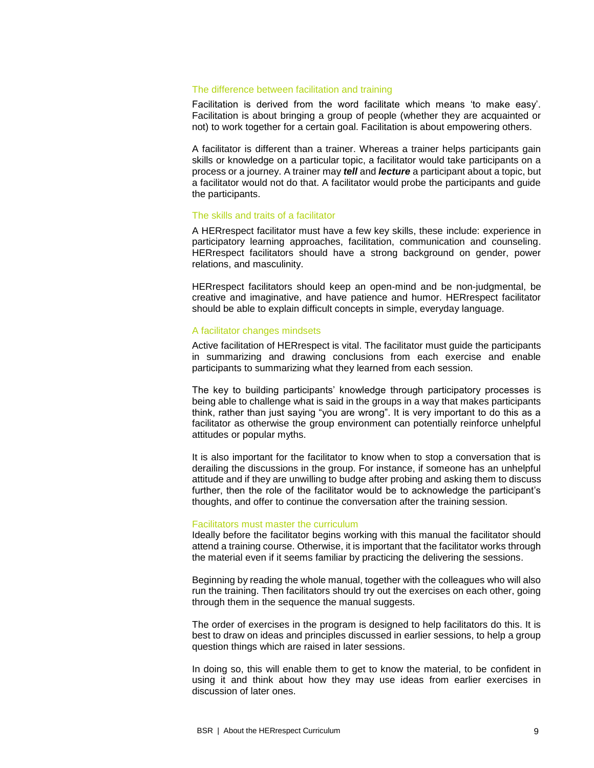#### The difference between facilitation and training

Facilitation is derived from the word facilitate which means 'to make easy'. Facilitation is about bringing a group of people (whether they are acquainted or not) to work together for a certain goal. Facilitation is about empowering others.

A facilitator is different than a trainer. Whereas a trainer helps participants gain skills or knowledge on a particular topic, a facilitator would take participants on a process or a journey. A trainer may *tell* and *lecture* a participant about a topic, but a facilitator would not do that. A facilitator would probe the participants and guide the participants.

#### The skills and traits of a facilitator

A HERrespect facilitator must have a few key skills, these include: experience in participatory learning approaches, facilitation, communication and counseling. HERrespect facilitators should have a strong background on gender, power relations, and masculinity.

HERrespect facilitators should keep an open-mind and be non-judgmental, be creative and imaginative, and have patience and humor. HERrespect facilitator should be able to explain difficult concepts in simple, everyday language.

#### A facilitator changes mindsets

Active facilitation of HERrespect is vital. The facilitator must guide the participants in summarizing and drawing conclusions from each exercise and enable participants to summarizing what they learned from each session.

The key to building participants' knowledge through participatory processes is being able to challenge what is said in the groups in a way that makes participants think, rather than just saying "you are wrong". It is very important to do this as a facilitator as otherwise the group environment can potentially reinforce unhelpful attitudes or popular myths.

It is also important for the facilitator to know when to stop a conversation that is derailing the discussions in the group. For instance, if someone has an unhelpful attitude and if they are unwilling to budge after probing and asking them to discuss further, then the role of the facilitator would be to acknowledge the participant's thoughts, and offer to continue the conversation after the training session.

#### Facilitators must master the curriculum

Ideally before the facilitator begins working with this manual the facilitator should attend a training course. Otherwise, it is important that the facilitator works through the material even if it seems familiar by practicing the delivering the sessions.

Beginning by reading the whole manual, together with the colleagues who will also run the training. Then facilitators should try out the exercises on each other, going through them in the sequence the manual suggests.

The order of exercises in the program is designed to help facilitators do this. It is best to draw on ideas and principles discussed in earlier sessions, to help a group question things which are raised in later sessions.

In doing so, this will enable them to get to know the material, to be confident in using it and think about how they may use ideas from earlier exercises in discussion of later ones.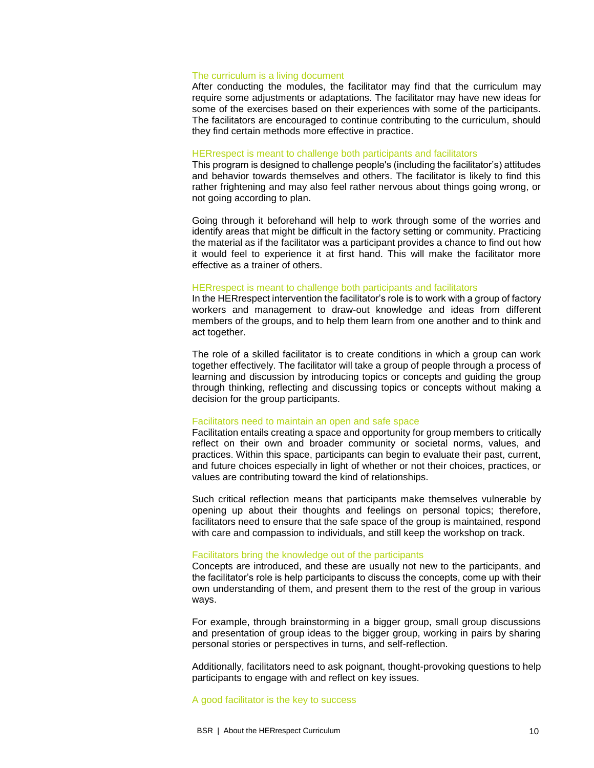#### The curriculum is a living document

After conducting the modules, the facilitator may find that the curriculum may require some adjustments or adaptations. The facilitator may have new ideas for some of the exercises based on their experiences with some of the participants. The facilitators are encouraged to continue contributing to the curriculum, should they find certain methods more effective in practice.

#### HERrespect is meant to challenge both participants and facilitators

This program is designed to challenge people's (including the facilitator's) attitudes and behavior towards themselves and others. The facilitator is likely to find this rather frightening and may also feel rather nervous about things going wrong, or not going according to plan.

Going through it beforehand will help to work through some of the worries and identify areas that might be difficult in the factory setting or community. Practicing the material as if the facilitator was a participant provides a chance to find out how it would feel to experience it at first hand. This will make the facilitator more effective as a trainer of others.

#### HERrespect is meant to challenge both participants and facilitators

In the HERrespect intervention the facilitator's role is to work with a group of factory workers and management to draw-out knowledge and ideas from different members of the groups, and to help them learn from one another and to think and act together.

The role of a skilled facilitator is to create conditions in which a group can work together effectively. The facilitator will take a group of people through a process of learning and discussion by introducing topics or concepts and guiding the group through thinking, reflecting and discussing topics or concepts without making a decision for the group participants.

#### Facilitators need to maintain an open and safe space

Facilitation entails creating a space and opportunity for group members to critically reflect on their own and broader community or societal norms, values, and practices. Within this space, participants can begin to evaluate their past, current, and future choices especially in light of whether or not their choices, practices, or values are contributing toward the kind of relationships.

Such critical reflection means that participants make themselves vulnerable by opening up about their thoughts and feelings on personal topics; therefore, facilitators need to ensure that the safe space of the group is maintained, respond with care and compassion to individuals, and still keep the workshop on track.

#### Facilitators bring the knowledge out of the participants

Concepts are introduced, and these are usually not new to the participants, and the facilitator's role is help participants to discuss the concepts, come up with their own understanding of them, and present them to the rest of the group in various ways.

For example, through brainstorming in a bigger group, small group discussions and presentation of group ideas to the bigger group, working in pairs by sharing personal stories or perspectives in turns, and self-reflection.

Additionally, facilitators need to ask poignant, thought-provoking questions to help participants to engage with and reflect on key issues.

#### A good facilitator is the key to success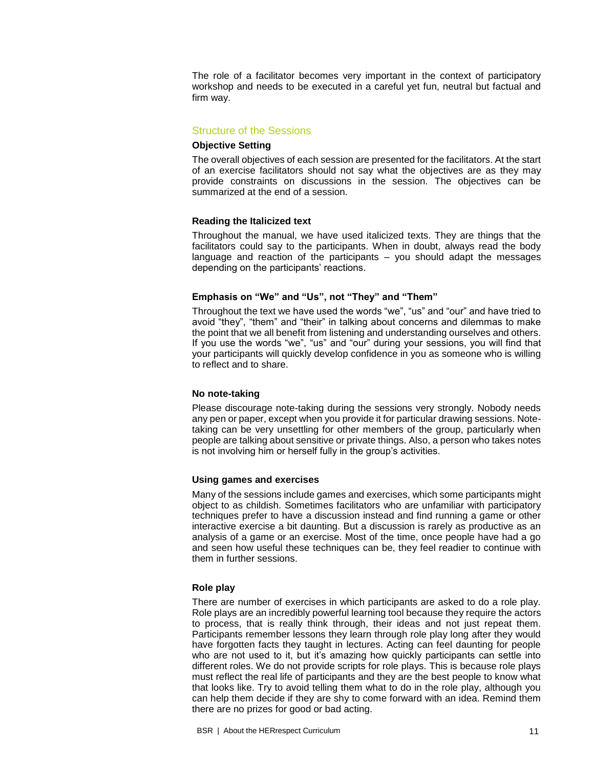The role of a facilitator becomes very important in the context of participatory workshop and needs to be executed in a careful yet fun, neutral but factual and firm way.

## Structure of the Sessions

## **Objective Setting**

The overall objectives of each session are presented for the facilitators. At the start of an exercise facilitators should not say what the objectives are as they may provide constraints on discussions in the session. The objectives can be summarized at the end of a session.

## **Reading the Italicized text**

Throughout the manual, we have used italicized texts. They are things that the facilitators could say to the participants. When in doubt, always read the body language and reaction of the participants – you should adapt the messages depending on the participants' reactions.

#### **Emphasis on "We" and "Us", not "They" and "Them"**

Throughout the text we have used the words "we", "us" and "our" and have tried to avoid "they", "them" and "their" in talking about concerns and dilemmas to make the point that we all benefit from listening and understanding ourselves and others. If you use the words "we", "us" and "our" during your sessions, you will find that your participants will quickly develop confidence in you as someone who is willing to reflect and to share.

## **No note-taking**

Please discourage note-taking during the sessions very strongly. Nobody needs any pen or paper, except when you provide it for particular drawing sessions. Notetaking can be very unsettling for other members of the group, particularly when people are talking about sensitive or private things. Also, a person who takes notes is not involving him or herself fully in the group's activities.

## **Using games and exercises**

Many of the sessions include games and exercises, which some participants might object to as childish. Sometimes facilitators who are unfamiliar with participatory techniques prefer to have a discussion instead and find running a game or other interactive exercise a bit daunting. But a discussion is rarely as productive as an analysis of a game or an exercise. Most of the time, once people have had a go and seen how useful these techniques can be, they feel readier to continue with them in further sessions.

## **Role play**

There are number of exercises in which participants are asked to do a role play. Role plays are an incredibly powerful learning tool because they require the actors to process, that is really think through, their ideas and not just repeat them. Participants remember lessons they learn through role play long after they would have forgotten facts they taught in lectures. Acting can feel daunting for people who are not used to it, but it's amazing how quickly participants can settle into different roles. We do not provide scripts for role plays. This is because role plays must reflect the real life of participants and they are the best people to know what that looks like. Try to avoid telling them what to do in the role play, although you can help them decide if they are shy to come forward with an idea. Remind them there are no prizes for good or bad acting.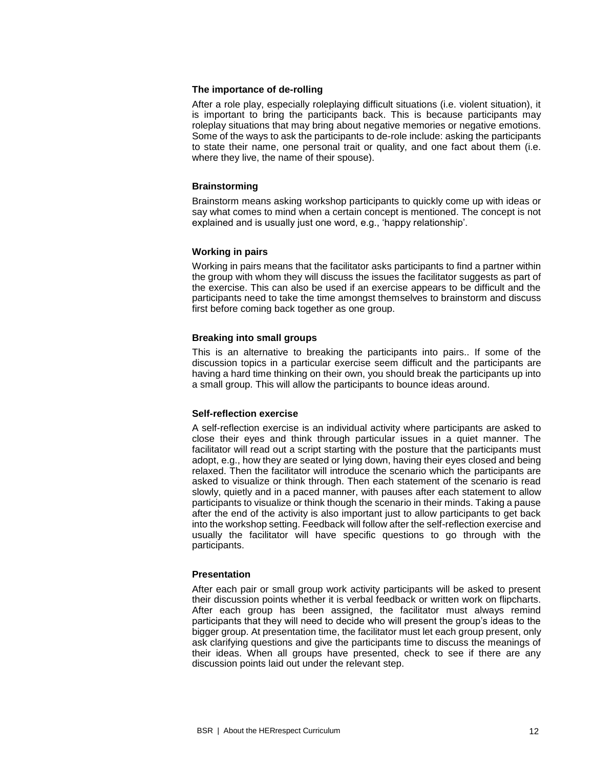#### **The importance of de-rolling**

After a role play, especially roleplaying difficult situations (i.e. violent situation), it is important to bring the participants back. This is because participants may roleplay situations that may bring about negative memories or negative emotions. Some of the ways to ask the participants to de-role include: asking the participants to state their name, one personal trait or quality, and one fact about them (i.e. where they live, the name of their spouse).

#### **Brainstorming**

Brainstorm means asking workshop participants to quickly come up with ideas or say what comes to mind when a certain concept is mentioned. The concept is not explained and is usually just one word, e.g., 'happy relationship'.

#### **Working in pairs**

Working in pairs means that the facilitator asks participants to find a partner within the group with whom they will discuss the issues the facilitator suggests as part of the exercise. This can also be used if an exercise appears to be difficult and the participants need to take the time amongst themselves to brainstorm and discuss first before coming back together as one group.

#### **Breaking into small groups**

This is an alternative to breaking the participants into pairs.. If some of the discussion topics in a particular exercise seem difficult and the participants are having a hard time thinking on their own, you should break the participants up into a small group. This will allow the participants to bounce ideas around.

#### **Self-reflection exercise**

A self-reflection exercise is an individual activity where participants are asked to close their eyes and think through particular issues in a quiet manner. The facilitator will read out a script starting with the posture that the participants must adopt, e.g., how they are seated or lying down, having their eyes closed and being relaxed. Then the facilitator will introduce the scenario which the participants are asked to visualize or think through. Then each statement of the scenario is read slowly, quietly and in a paced manner, with pauses after each statement to allow participants to visualize or think though the scenario in their minds. Taking a pause after the end of the activity is also important just to allow participants to get back into the workshop setting. Feedback will follow after the self-reflection exercise and usually the facilitator will have specific questions to go through with the participants.

#### **Presentation**

After each pair or small group work activity participants will be asked to present their discussion points whether it is verbal feedback or written work on flipcharts. After each group has been assigned, the facilitator must always remind participants that they will need to decide who will present the group's ideas to the bigger group. At presentation time, the facilitator must let each group present, only ask clarifying questions and give the participants time to discuss the meanings of their ideas. When all groups have presented, check to see if there are any discussion points laid out under the relevant step.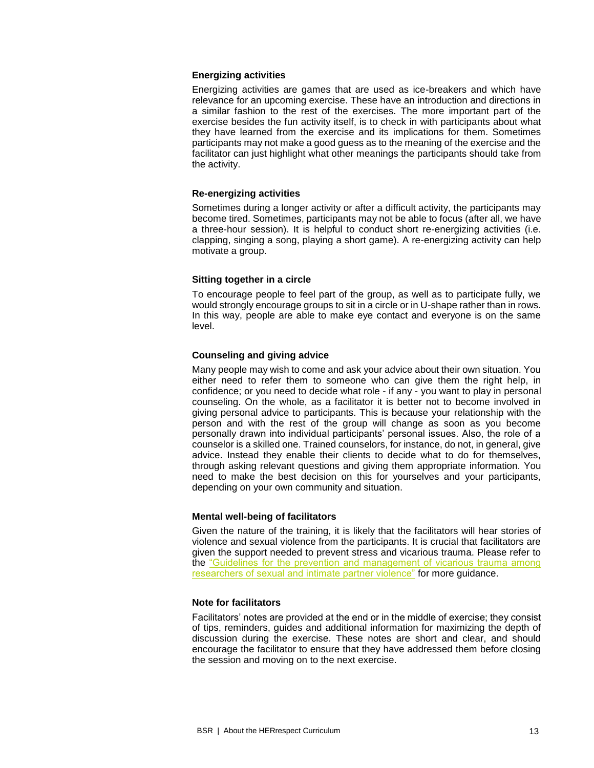#### **Energizing activities**

Energizing activities are games that are used as ice-breakers and which have relevance for an upcoming exercise. These have an introduction and directions in a similar fashion to the rest of the exercises. The more important part of the exercise besides the fun activity itself, is to check in with participants about what they have learned from the exercise and its implications for them. Sometimes participants may not make a good guess as to the meaning of the exercise and the facilitator can just highlight what other meanings the participants should take from the activity.

#### **Re-energizing activities**

Sometimes during a longer activity or after a difficult activity, the participants may become tired. Sometimes, participants may not be able to focus (after all, we have a three-hour session). It is helpful to conduct short re-energizing activities (i.e. clapping, singing a song, playing a short game). A re-energizing activity can help motivate a group.

## **Sitting together in a circle**

To encourage people to feel part of the group, as well as to participate fully, we would strongly encourage groups to sit in a circle or in U-shape rather than in rows. In this way, people are able to make eye contact and everyone is on the same level.

## **Counseling and giving advice**

Many people may wish to come and ask your advice about their own situation. You either need to refer them to someone who can give them the right help, in confidence; or you need to decide what role - if any - you want to play in personal counseling. On the whole, as a facilitator it is better not to become involved in giving personal advice to participants. This is because your relationship with the person and with the rest of the group will change as soon as you become personally drawn into individual participants' personal issues. Also, the role of a counselor is a skilled one. Trained counselors, for instance, do not, in general, give advice. Instead they enable their clients to decide what to do for themselves, through asking relevant questions and giving them appropriate information. You need to make the best decision on this for yourselves and your participants, depending on your own community and situation.

## **Mental well-being of facilitators**

Given the nature of the training, it is likely that the facilitators will hear stories of violence and sexual violence from the participants. It is crucial that facilitators are given the support needed to prevent stress and vicarious trauma. Please refer to the ["Guidelines for the prevention and management of vicarious trauma among](http://www.svri.org/sites/default/files/attachments/2016-06-02/SVRIVTguidelines.pdf)  [researchers of sexual and intimate partner violence"](http://www.svri.org/sites/default/files/attachments/2016-06-02/SVRIVTguidelines.pdf) for more guidance.

#### **Note for facilitators**

Facilitators' notes are provided at the end or in the middle of exercise; they consist of tips, reminders, guides and additional information for maximizing the depth of discussion during the exercise. These notes are short and clear, and should encourage the facilitator to ensure that they have addressed them before closing the session and moving on to the next exercise.